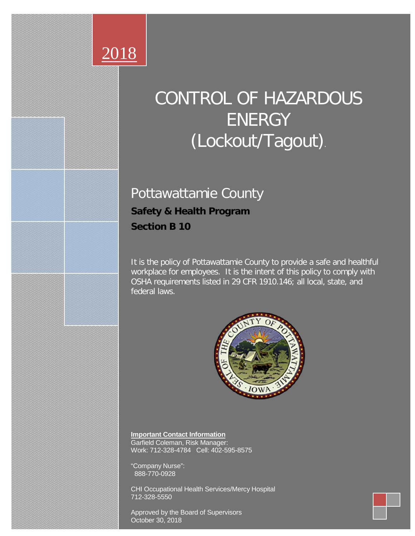# 2018

**Pottawattamie County – LOCK OUT TAG OUT**  SA**RABARAYA BERL**ETAR BERL

# CONTROL OF HAZARDOUS ENERGY (Lockout/Tagout).

## Pottawattamie County **Safety & Health Program Section B 10**

It is the policy of Pottawattamie County to provide a safe and healthful workplace for employees. It is the intent of this policy to comply with OSHA requirements listed in 29 CFR 1910.146; all local, state, and federal laws.



**Important Contact Information** Garfield Coleman, Risk Manager: Work: 712-328-4784 Cell: 402-595-8575

"Company Nurse": 888-770-0928

CHI Occupational Health Services/Mercy Hospital 712-328-5550

Approved by the Board of Supervisors October 30, 2018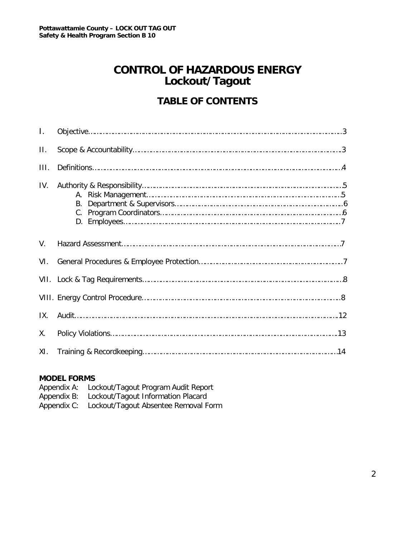### **CONTROL OF HAZARDOUS ENERGY Lockout/Tagout**

#### **TABLE OF CONTENTS**

| L.          |  |
|-------------|--|
| $\Pi$ .     |  |
| III.        |  |
| IV.         |  |
| $V_{\cdot}$ |  |
| VI.         |  |
|             |  |
|             |  |
| IX.         |  |
| Χ.          |  |
| XI.         |  |

#### **MODEL FORMS**

| Appendix A: Lockout/Tagout Program Audit Report  |
|--------------------------------------------------|
| Appendix B: Lockout/Tagout Information Placard   |
| Appendix C: Lockout/Tagout Absentee Removal Form |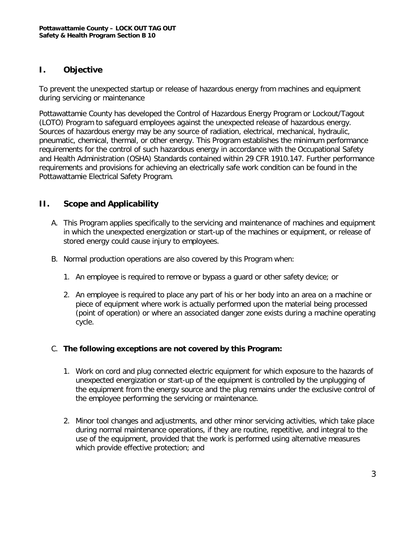#### **I. Objective**

To prevent the unexpected startup or release of hazardous energy from machines and equipment during servicing or maintenance

Pottawattamie County has developed the Control of Hazardous Energy Program or Lockout/Tagout (LOTO) Program to safeguard employees against the unexpected release of hazardous energy. Sources of hazardous energy may be any source of radiation, electrical, mechanical, hydraulic, pneumatic, chemical, thermal, or other energy. This Program establishes the minimum performance requirements for the control of such hazardous energy in accordance with the Occupational Safety and Health Administration (OSHA) Standards contained within 29 CFR 1910.147. Further performance requirements and provisions for achieving an electrically safe work condition can be found in the Pottawattamie Electrical Safety Program.

#### **II. Scope and Applicability**

- A. This Program applies specifically to the servicing and maintenance of machines and equipment in which the unexpected energization or start-up of the machines or equipment, or release of stored energy could cause injury to employees.
- B. Normal production operations are also covered by this Program when:
	- 1. An employee is required to remove or bypass a guard or other safety device; or
	- 2. An employee is required to place any part of his or her body into an area on a machine or piece of equipment where work is actually performed upon the material being processed (point of operation) or where an associated danger zone exists during a machine operating cycle.

#### C. **The following exceptions are not covered by this Program:**

- 1. Work on cord and plug connected electric equipment for which exposure to the hazards of unexpected energization or start-up of the equipment is controlled by the unplugging of the equipment from the energy source and the plug remains under the exclusive control of the employee performing the servicing or maintenance.
- 2. Minor tool changes and adjustments, and other minor servicing activities, which take place during normal maintenance operations, if they are routine, repetitive, and integral to the use of the equipment, provided that the work is performed using alternative measures which provide effective protection; and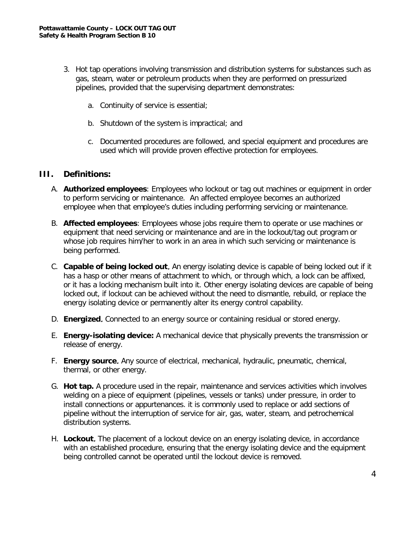- 3. Hot tap operations involving transmission and distribution systems for substances such as gas, steam, water or petroleum products when they are performed on pressurized pipelines, provided that the supervising department demonstrates:
	- a. Continuity of service is essential;
	- b. Shutdown of the system is impractical; and
	- c. Documented procedures are followed, and special equipment and procedures are used which will provide proven effective protection for employees.

#### **III. Definitions:**

- A. **Authorized employees**: Employees who lockout or tag out machines or equipment in order to perform servicing or maintenance. An affected employee becomes an authorized employee when that employee's duties including performing servicing or maintenance.
- B. **Affected employees**: Employees whose jobs require them to operate or use machines or equipment that need servicing or maintenance and are in the lockout/tag out program or whose job requires him/her to work in an area in which such servicing or maintenance is being performed.
- C. **Capable of being locked out**. An energy isolating device is capable of being locked out if it has a hasp or other means of attachment to which, or through which, a lock can be affixed, or it has a locking mechanism built into it. Other energy isolating devices are capable of being locked out, if lockout can be achieved without the need to dismantle, rebuild, or replace the energy isolating device or permanently alter its energy control capability.
- D. **Energized**. Connected to an energy source or containing residual or stored energy.
- E. **Energy-isolating device:** A mechanical device that physically prevents the transmission or release of energy.
- F. **Energy source**. Any source of electrical, mechanical, hydraulic, pneumatic, chemical, thermal, or other energy.
- G. **Hot tap.** A procedure used in the repair, maintenance and services activities which involves welding on a piece of equipment (pipelines, vessels or tanks) under pressure, in order to install connections or appurtenances. it is commonly used to replace or add sections of pipeline without the interruption of service for air, gas, water, steam, and petrochemical distribution systems.
- H. **Lockout**. The placement of a lockout device on an energy isolating device, in accordance with an established procedure, ensuring that the energy isolating device and the equipment being controlled cannot be operated until the lockout device is removed.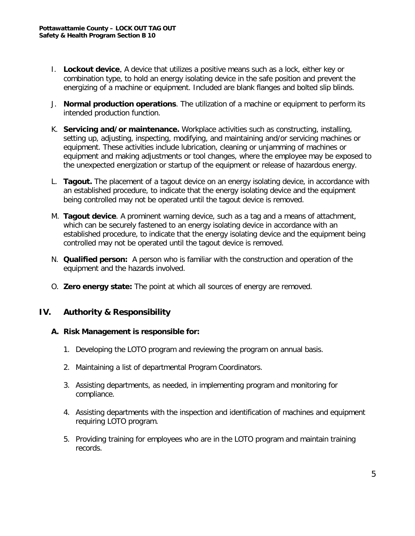- I. **Lockout device**. A device that utilizes a positive means such as a lock, either key or combination type, to hold an energy isolating device in the safe position and prevent the energizing of a machine or equipment. Included are blank flanges and bolted slip blinds.
- J. **Normal production operations**. The utilization of a machine or equipment to perform its intended production function.
- K. **Servicing and/or maintenance.** Workplace activities such as constructing, installing, setting up, adjusting, inspecting, modifying, and maintaining and/or servicing machines or equipment. These activities include lubrication, cleaning or unjamming of machines or equipment and making adjustments or tool changes, where the employee may be exposed to the unexpected energization or startup of the equipment or release of hazardous energy.
- L. **Tagout.** The placement of a tagout device on an energy isolating device, in accordance with an established procedure, to indicate that the energy isolating device and the equipment being controlled may not be operated until the tagout device is removed.
- M. **Tagout device**. A prominent warning device, such as a tag and a means of attachment, which can be securely fastened to an energy isolating device in accordance with an established procedure, to indicate that the energy isolating device and the equipment being controlled may not be operated until the tagout device is removed.
- N. **Qualified person:** A person who is familiar with the construction and operation of the equipment and the hazards involved.
- O. **Zero energy state:** The point at which all sources of energy are removed.

#### **IV. Authority & Responsibility**

#### **A. Risk Management is responsible for:**

- 1. Developing the LOTO program and reviewing the program on annual basis.
- 2. Maintaining a list of departmental Program Coordinators.
- 3. Assisting departments, as needed, in implementing program and monitoring for compliance.
- 4. Assisting departments with the inspection and identification of machines and equipment requiring LOTO program.
- 5. Providing training for employees who are in the LOTO program and maintain training records.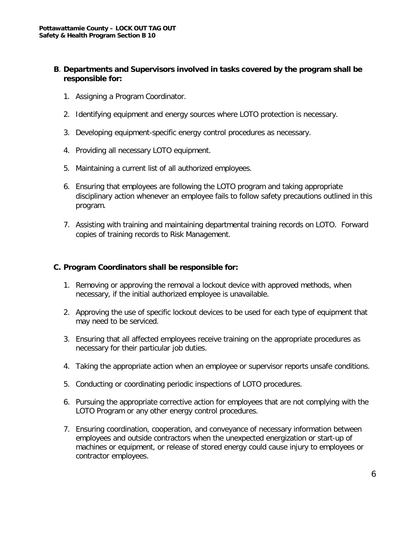#### **B**. **Departments and Supervisors involved in tasks covered by the program shall be responsible for:**

- 1. Assigning a Program Coordinator.
- 2. Identifying equipment and energy sources where LOTO protection is necessary.
- 3. Developing equipment-specific energy control procedures as necessary.
- 4. Providing all necessary LOTO equipment.
- 5. Maintaining a current list of all authorized employees.
- 6. Ensuring that employees are following the LOTO program and taking appropriate disciplinary action whenever an employee fails to follow safety precautions outlined in this program.
- 7. Assisting with training and maintaining departmental training records on LOTO. Forward copies of training records to Risk Management.

#### **C. Program Coordinators shall be responsible for:**

- 1. Removing or approving the removal a lockout device with approved methods, when necessary, if the initial authorized employee is unavailable.
- 2. Approving the use of specific lockout devices to be used for each type of equipment that may need to be serviced.
- 3. Ensuring that all affected employees receive training on the appropriate procedures as necessary for their particular job duties.
- 4. Taking the appropriate action when an employee or supervisor reports unsafe conditions.
- 5. Conducting or coordinating periodic inspections of LOTO procedures.
- 6. Pursuing the appropriate corrective action for employees that are not complying with the LOTO Program or any other energy control procedures.
- 7. Ensuring coordination, cooperation, and conveyance of necessary information between employees and outside contractors when the unexpected energization or start-up of machines or equipment, or release of stored energy could cause injury to employees or contractor employees.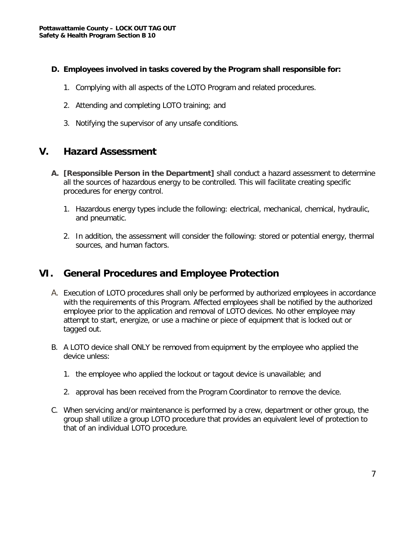#### **D. Employees involved in tasks covered by the Program shall responsible for:**

- 1. Complying with all aspects of the LOTO Program and related procedures.
- 2. Attending and completing LOTO training; and
- 3. Notifying the supervisor of any unsafe conditions.

#### **V. Hazard Assessment**

- **A. [Responsible Person in the Department]** shall conduct a hazard assessment to determine all the sources of hazardous energy to be controlled. This will facilitate creating specific procedures for energy control.
	- 1. Hazardous energy types include the following: electrical, mechanical, chemical, hydraulic, and pneumatic.
	- 2. In addition, the assessment will consider the following: stored or potential energy, thermal sources, and human factors.

#### **VI. General Procedures and Employee Protection**

- A. Execution of LOTO procedures shall only be performed by authorized employees in accordance with the requirements of this Program. Affected employees shall be notified by the authorized employee prior to the application and removal of LOTO devices. No other employee may attempt to start, energize, or use a machine or piece of equipment that is locked out or tagged out.
- B. A LOTO device shall ONLY be removed from equipment by the employee who applied the device unless:
	- 1. the employee who applied the lockout or tagout device is unavailable; and
	- 2. approval has been received from the Program Coordinator to remove the device.
- C. When servicing and/or maintenance is performed by a crew, department or other group, the group shall utilize a group LOTO procedure that provides an equivalent level of protection to that of an individual LOTO procedure.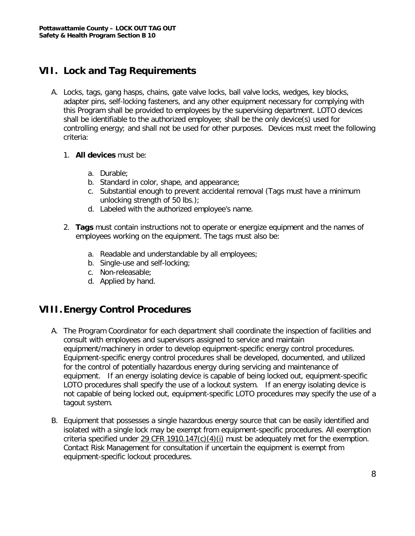#### **VII. Lock and Tag Requirements**

- A. Locks, tags, gang hasps, chains, gate valve locks, ball valve locks, wedges, key blocks, adapter pins, self-locking fasteners, and any other equipment necessary for complying with this Program shall be provided to employees by the supervising department. LOTO devices shall be identifiable to the authorized employee; shall be the only device(s) used for controlling energy; and shall not be used for other purposes. Devices must meet the following criteria:
	- 1. **All devices** must be:
		- a. Durable;
		- b. Standard in color, shape, and appearance;
		- c. Substantial enough to prevent accidental removal (Tags must have a minimum unlocking strength of 50 lbs.);
		- d. Labeled with the authorized employee's name.
	- 2. **Tags** must contain instructions not to operate or energize equipment and the names of employees working on the equipment. The tags must also be:
		- a. Readable and understandable by all employees;
		- b. Single-use and self-locking;
		- c. Non-releasable;
		- d. Applied by hand.

#### **VIII.Energy Control Procedures**

- A. The Program Coordinator for each department shall coordinate the inspection of facilities and consult with employees and supervisors assigned to service and maintain equipment/machinery in order to develop equipment-specific energy control procedures. Equipment-specific energy control procedures shall be developed, documented, and utilized for the control of potentially hazardous energy during servicing and maintenance of equipment. If an energy isolating device is capable of being locked out, equipment-specific LOTO procedures shall specify the use of a lockout system. If an energy isolating device is not capable of being locked out, equipment-specific LOTO procedures may specify the use of a tagout system.
- B. Equipment that possesses a single hazardous energy source that can be easily identified and isolated with a single lock may be exempt from equipment-specific procedures. All exemption criteria specified under 29 CFR 1910.147 $(c)(4)(i)$  must be adequately met for the exemption. Contact Risk Management for consultation if uncertain the equipment is exempt from equipment-specific lockout procedures.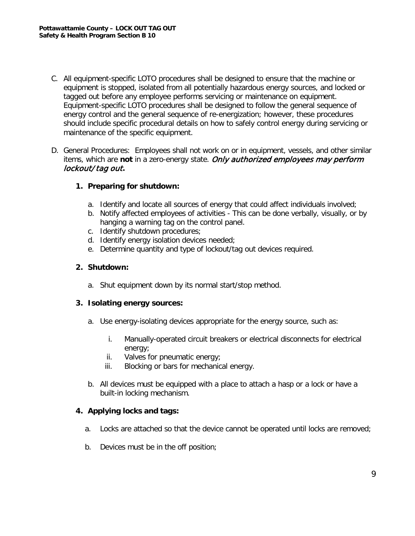- C. All equipment-specific LOTO procedures shall be designed to ensure that the machine or equipment is stopped, isolated from all potentially hazardous energy sources, and locked or tagged out before any employee performs servicing or maintenance on equipment. Equipment-specific LOTO procedures shall be designed to follow the general sequence of energy control and the general sequence of re-energization; however, these procedures should include specific procedural details on how to safely control energy during servicing or maintenance of the specific equipment.
- D. General Procedures: Employees shall not work on or in equipment, vessels, and other similar items, which are **not** in a zero-energy state. Only authorized employees may perform lockout/ tag out**.**

#### **1. Preparing for shutdown:**

- a. Identify and locate all sources of energy that could affect individuals involved;
- b. Notify affected employees of activities This can be done verbally, visually, or by hanging a warning tag on the control panel.
- c. Identify shutdown procedures;
- d. Identify energy isolation devices needed;
- e. Determine quantity and type of lockout/tag out devices required.

#### **2. Shutdown:**

a. Shut equipment down by its normal start/stop method.

#### **3. Isolating energy sources:**

- a. Use energy-isolating devices appropriate for the energy source, such as:
	- i. Manually-operated circuit breakers or electrical disconnects for electrical energy;
	- ii. Valves for pneumatic energy;
	- iii. Blocking or bars for mechanical energy.
- b. All devices must be equipped with a place to attach a hasp or a lock or have a built-in locking mechanism.

#### **4. Applying locks and tags:**

- a. Locks are attached so that the device cannot be operated until locks are removed;
- b. Devices must be in the off position;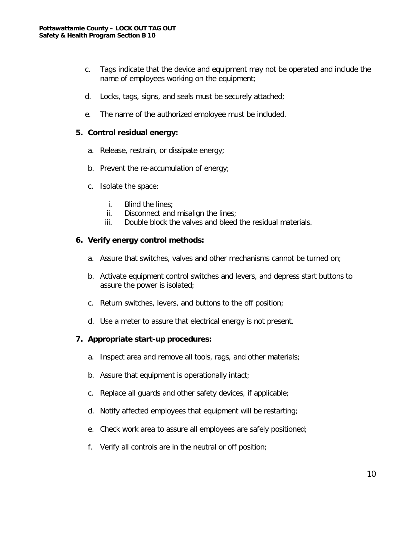- c. Tags indicate that the device and equipment may not be operated and include the name of employees working on the equipment;
- d. Locks, tags, signs, and seals must be securely attached;
- e. The name of the authorized employee must be included.

#### **5. Control residual energy:**

- a. Release, restrain, or dissipate energy;
- b. Prevent the re-accumulation of energy;
- c. Isolate the space:
	- i. Blind the lines;
	- ii. Disconnect and misalign the lines;
	- iii. Double block the valves and bleed the residual materials.

#### **6. Verify energy control methods:**

- a. Assure that switches, valves and other mechanisms cannot be turned on;
- b. Activate equipment control switches and levers, and depress start buttons to assure the power is isolated;
- c. Return switches, levers, and buttons to the off position;
- d. Use a meter to assure that electrical energy is not present.

#### **7. Appropriate start-up procedures:**

- a. Inspect area and remove all tools, rags, and other materials;
- b. Assure that equipment is operationally intact;
- c. Replace all guards and other safety devices, if applicable;
- d. Notify affected employees that equipment will be restarting;
- e. Check work area to assure all employees are safely positioned;
- f. Verify all controls are in the neutral or off position;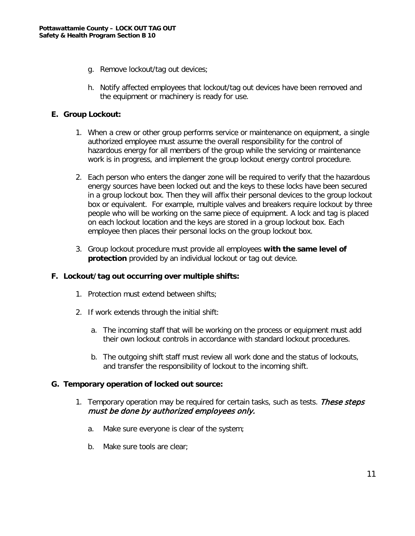- g. Remove lockout/tag out devices;
- h. Notify affected employees that lockout/tag out devices have been removed and the equipment or machinery is ready for use.

#### **E. Group Lockout:**

- 1. When a crew or other group performs service or maintenance on equipment, a single authorized employee must assume the overall responsibility for the control of hazardous energy for all members of the group while the servicing or maintenance work is in progress, and implement the group lockout energy control procedure.
- 2. Each person who enters the danger zone will be required to verify that the hazardous energy sources have been locked out and the keys to these locks have been secured in a group lockout box. Then they will affix their personal devices to the group lockout box or equivalent. For example, multiple valves and breakers require lockout by three people who will be working on the same piece of equipment. A lock and tag is placed on each lockout location and the keys are stored in a group lockout box. Each employee then places their personal locks on the group lockout box.
- 3. Group lockout procedure must provide all employees **with the same level of protection** provided by an individual lockout or tag out device.

#### **F. Lockout/tag out occurring over multiple shifts:**

- 1. Protection must extend between shifts;
- 2. If work extends through the initial shift:
	- a. The incoming staff that will be working on the process or equipment must add their own lockout controls in accordance with standard lockout procedures.
	- b. The outgoing shift staff must review all work done and the status of lockouts, and transfer the responsibility of lockout to the incoming shift.

#### **G. Temporary operation of locked out source:**

- 1. Temporary operation may be required for certain tasks, such as tests. These steps must be done by authorized employees only.
	- a. Make sure everyone is clear of the system;
	- b. Make sure tools are clear;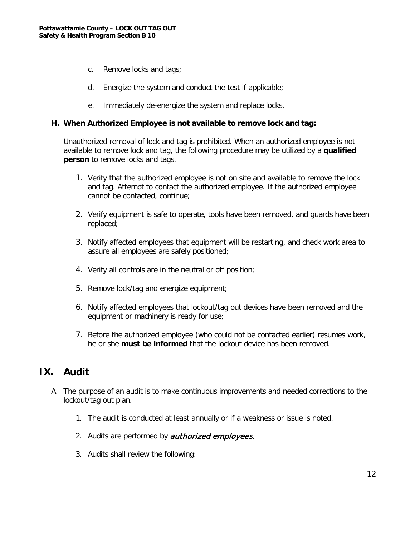- c. Remove locks and tags;
- d. Energize the system and conduct the test if applicable;
- e. Immediately de-energize the system and replace locks.

#### **H. When Authorized Employee is not available to remove lock and tag:**

Unauthorized removal of lock and tag is prohibited. When an authorized employee is not available to remove lock and tag, the following procedure may be utilized by a **qualified person** to remove locks and tags.

- 1. Verify that the authorized employee is not on site and available to remove the lock and tag. Attempt to contact the authorized employee. If the authorized employee cannot be contacted, continue;
- 2. Verify equipment is safe to operate, tools have been removed, and guards have been replaced;
- 3. Notify affected employees that equipment will be restarting, and check work area to assure all employees are safely positioned;
- 4. Verify all controls are in the neutral or off position;
- 5. Remove lock/tag and energize equipment;
- 6. Notify affected employees that lockout/tag out devices have been removed and the equipment or machinery is ready for use;
- 7. Before the authorized employee (who could not be contacted earlier) resumes work, he or she **must be informed** that the lockout device has been removed.

#### **IX. Audit**

- A. The purpose of an audit is to make continuous improvements and needed corrections to the lockout/tag out plan.
	- 1. The audit is conducted at least annually or if a weakness or issue is noted.
	- 2. Audits are performed by **authorized employees.**
	- 3. Audits shall review the following: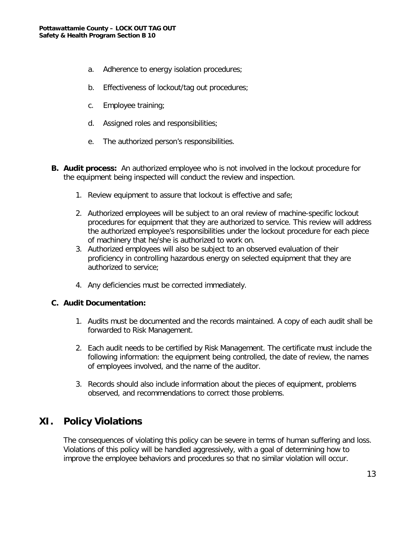- a. Adherence to energy isolation procedures;
- b. Effectiveness of lockout/tag out procedures;
- c. Employee training;
- d. Assigned roles and responsibilities;
- e. The authorized person's responsibilities.
- **B. Audit process:** An authorized employee who is not involved in the lockout procedure for the equipment being inspected will conduct the review and inspection.
	- 1. Review equipment to assure that lockout is effective and safe;
	- 2. Authorized employees will be subject to an oral review of machine-specific lockout procedures for equipment that they are authorized to service. This review will address the authorized employee's responsibilities under the lockout procedure for each piece of machinery that he/she is authorized to work on.
	- 3. Authorized employees will also be subject to an observed evaluation of their proficiency in controlling hazardous energy on selected equipment that they are authorized to service;
	- 4. Any deficiencies must be corrected immediately.

#### **C. Audit Documentation:**

- 1. Audits must be documented and the records maintained. A copy of each audit shall be forwarded to Risk Management.
- 2. Each audit needs to be certified by Risk Management. The certificate must include the following information: the equipment being controlled, the date of review, the names of employees involved, and the name of the auditor.
- 3. Records should also include information about the pieces of equipment, problems observed, and recommendations to correct those problems.

#### **XI. Policy Violations**

The consequences of violating this policy can be severe in terms of human suffering and loss. Violations of this policy will be handled aggressively, with a goal of determining how to improve the employee behaviors and procedures so that no similar violation will occur.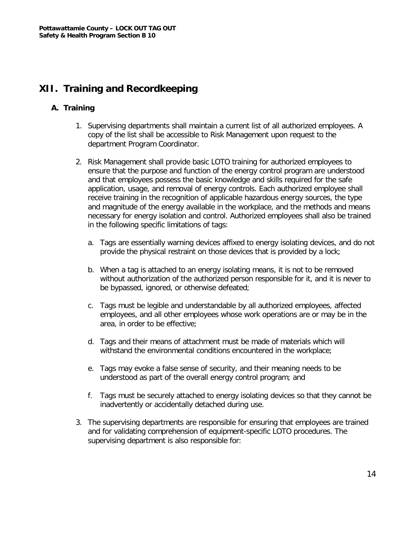#### **XII. Training and Recordkeeping**

#### **A. Training**

- 1. Supervising departments shall maintain a current list of all authorized employees. A copy of the list shall be accessible to Risk Management upon request to the department Program Coordinator.
- 2. Risk Management shall provide basic LOTO training for authorized employees to ensure that the purpose and function of the energy control program are understood and that employees possess the basic knowledge and skills required for the safe application, usage, and removal of energy controls. Each authorized employee shall receive training in the recognition of applicable hazardous energy sources, the type and magnitude of the energy available in the workplace, and the methods and means necessary for energy isolation and control. Authorized employees shall also be trained in the following specific limitations of tags:
	- a. Tags are essentially warning devices affixed to energy isolating devices, and do not provide the physical restraint on those devices that is provided by a lock;
	- b. When a tag is attached to an energy isolating means, it is not to be removed without authorization of the authorized person responsible for it, and it is never to be bypassed, ignored, or otherwise defeated;
	- c. Tags must be legible and understandable by all authorized employees, affected employees, and all other employees whose work operations are or may be in the area, in order to be effective;
	- d. Tags and their means of attachment must be made of materials which will withstand the environmental conditions encountered in the workplace;
	- e. Tags may evoke a false sense of security, and their meaning needs to be understood as part of the overall energy control program; and
	- f. Tags must be securely attached to energy isolating devices so that they cannot be inadvertently or accidentally detached during use.
- 3. The supervising departments are responsible for ensuring that employees are trained and for validating comprehension of equipment-specific LOTO procedures. The supervising department is also responsible for: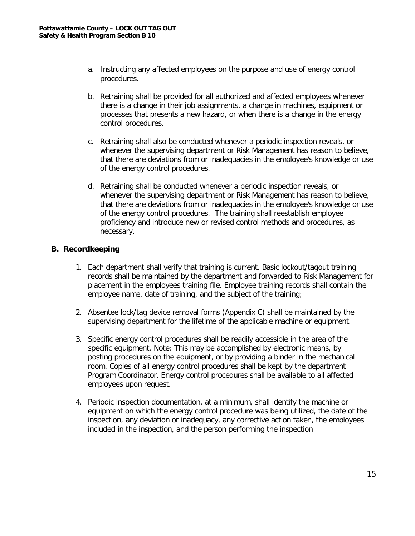- a. Instructing any affected employees on the purpose and use of energy control procedures.
- b. Retraining shall be provided for all authorized and affected employees whenever there is a change in their job assignments, a change in machines, equipment or processes that presents a new hazard, or when there is a change in the energy control procedures.
- c. Retraining shall also be conducted whenever a periodic inspection reveals, or whenever the supervising department or Risk Management has reason to believe, that there are deviations from or inadequacies in the employee's knowledge or use of the energy control procedures.
- d. Retraining shall be conducted whenever a periodic inspection reveals, or whenever the supervising department or Risk Management has reason to believe, that there are deviations from or inadequacies in the employee's knowledge or use of the energy control procedures. The training shall reestablish employee proficiency and introduce new or revised control methods and procedures, as necessary.

#### **B. Recordkeeping**

- 1. Each department shall verify that training is current. Basic lockout/tagout training records shall be maintained by the department and forwarded to Risk Management for placement in the employees training file. Employee training records shall contain the employee name, date of training, and the subject of the training;
- 2. Absentee lock/tag device removal forms (Appendix C) shall be maintained by the supervising department for the lifetime of the applicable machine or equipment.
- 3. Specific energy control procedures shall be readily accessible in the area of the specific equipment. Note: This may be accomplished by electronic means, by posting procedures on the equipment, or by providing a binder in the mechanical room. Copies of all energy control procedures shall be kept by the department Program Coordinator. Energy control procedures shall be available to all affected employees upon request.
- 4. Periodic inspection documentation, at a minimum, shall identify the machine or equipment on which the energy control procedure was being utilized, the date of the inspection, any deviation or inadequacy, any corrective action taken, the employees included in the inspection, and the person performing the inspection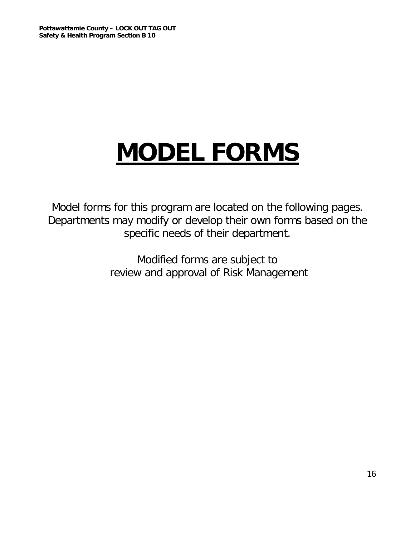# **MODEL FORMS**

Model forms for this program are located on the following pages. Departments may modify or develop their own forms based on the specific needs of their department.

> Modified forms are subject to review and approval of Risk Management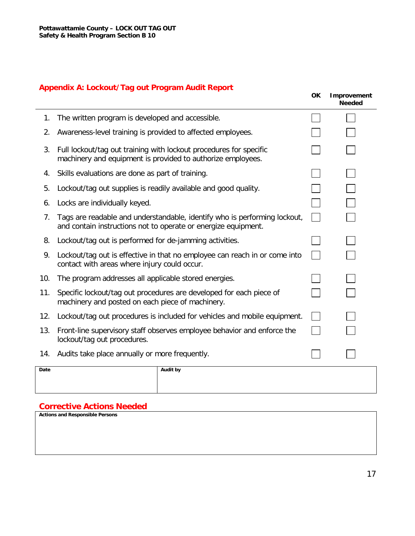|      |                                                                                                                                             | OK | Improvement<br><b>Needed</b> |
|------|---------------------------------------------------------------------------------------------------------------------------------------------|----|------------------------------|
| 1.   | The written program is developed and accessible.                                                                                            |    |                              |
| 2.   | Awareness-level training is provided to affected employees.                                                                                 |    |                              |
| 3.   | Full lockout/tag out training with lockout procedures for specific<br>machinery and equipment is provided to authorize employees.           |    |                              |
| 4.   | Skills evaluations are done as part of training.                                                                                            |    |                              |
| 5.   | Lockout/tag out supplies is readily available and good quality.                                                                             |    |                              |
| 6.   | Locks are individually keyed.                                                                                                               |    |                              |
| 7.   | Tags are readable and understandable, identify who is performing lockout,<br>and contain instructions not to operate or energize equipment. |    |                              |
| 8.   | Lockout/tag out is performed for de-jamming activities.                                                                                     |    |                              |
| 9.   | Lockout/tag out is effective in that no employee can reach in or come into<br>contact with areas where injury could occur.                  |    |                              |
| 10.  | The program addresses all applicable stored energies.                                                                                       |    |                              |
| 11.  | Specific lockout/tag out procedures are developed for each piece of<br>machinery and posted on each piece of machinery.                     |    |                              |
| 12.  | Lockout/tag out procedures is included for vehicles and mobile equipment.                                                                   |    |                              |
| 13.  | Front-line supervisory staff observes employee behavior and enforce the<br>lockout/tag out procedures.                                      |    |                              |
| 14.  | Audits take place annually or more frequently.                                                                                              |    |                              |
| Date | <b>Audit by</b>                                                                                                                             |    |                              |
|      |                                                                                                                                             |    |                              |

#### **Corrective Actions Needed**

| <b>Actions and Responsible Persons</b> |  |  |
|----------------------------------------|--|--|
|                                        |  |  |
|                                        |  |  |
|                                        |  |  |
|                                        |  |  |
|                                        |  |  |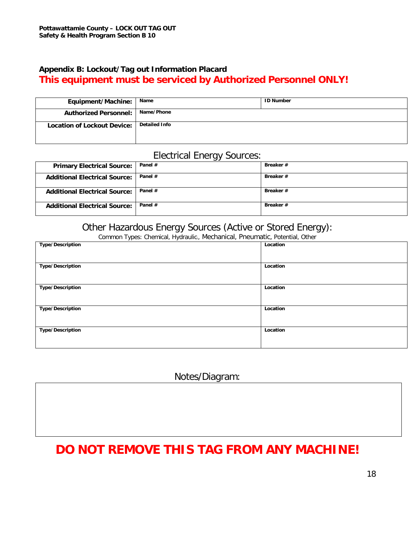#### **Appendix B: Lockout/Tag out Information Placard This equipment must be serviced by Authorized Personnel ONLY!**

| Equipment/Machine:                 | Name                 | <b>ID Number</b> |
|------------------------------------|----------------------|------------------|
| <b>Authorized Personnel:</b>       | Name/Phone           |                  |
| <b>Location of Lockout Device:</b> | <b>Detailed Info</b> |                  |

#### Electrical Energy Sources:

| ັ                                    |           |           |
|--------------------------------------|-----------|-----------|
| <b>Primary Electrical Source:</b>    | Panel $#$ | Breaker # |
| <b>Additional Electrical Source:</b> | Panel $#$ | Breaker # |
| <b>Additional Electrical Source:</b> | Panel #   | Breaker # |
| <b>Additional Electrical Source:</b> | Panel #   | Breaker # |

#### Other Hazardous Energy Sources (Active or Stored Energy):

Common Types: Chemical, Hydraulic\, Mechanical, Pneumatic, Potential, Other

| $\overline{\phantom{a}}$<br>. .<br>$\mathbf{r}$ | . .      |
|-------------------------------------------------|----------|
| <b>Type/Description</b>                         | Location |
|                                                 |          |
| <b>Type/Description</b>                         | Location |
|                                                 |          |
| <b>Type/Description</b>                         | Location |
|                                                 |          |
| <b>Type/Description</b>                         | Location |
|                                                 |          |
| <b>Type/Description</b>                         | Location |
|                                                 |          |

Notes/Diagram:

## **DO NOT REMOVE THIS TAG FROM ANY MACHINE!**